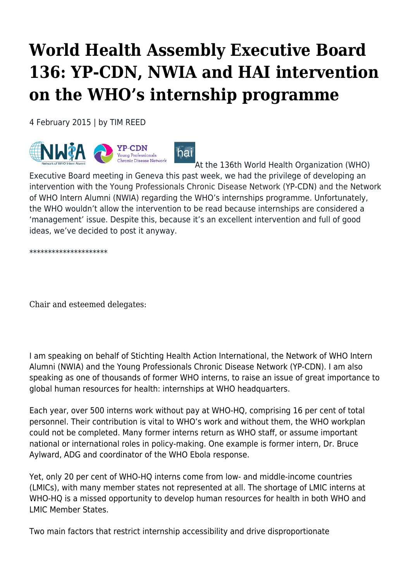## **World Health Assembly Executive Board 136: YP-CDN, NWIA and HAI intervention on the WHO's internship programme**

4 February 2015 | by TIM REED



[A](http://haiweb.org/wp-content/uploads/2015/02/Joint.png)t the 136th World Health Organization (WHO) Executive Board meeting in Geneva this past week, we had the privilege of developing an intervention with the Young Professionals Chronic Disease Network (YP-CDN) and the Network of WHO Intern Alumni (NWIA) regarding the WHO's internships programme. Unfortunately, the WHO wouldn't allow the intervention to be read because internships are considered a 'management' issue. Despite this, because it's an excellent intervention and full of good ideas, we've decided to post it anyway.

\*\*\*\*\*\*\*\*\*\*\*\*\*\*\*\*\*\*\*\*\*

Chair and esteemed delegates:

I am speaking on behalf of Stichting Health Action International, the Network of WHO Intern Alumni (NWIA) and the Young Professionals Chronic Disease Network (YP-CDN). I am also speaking as one of thousands of former WHO interns, to raise an issue of great importance to global human resources for health: internships at WHO headquarters.

Each year, over 500 interns work without pay at WHO-HQ, comprising 16 per cent of total personnel. Their contribution is vital to WHO's work and without them, the WHO workplan could not be completed. Many former interns return as WHO staff, or assume important national or international roles in policy-making. One example is former intern, Dr. Bruce Aylward, ADG and coordinator of the WHO Ebola response.

Yet, only 20 per cent of WHO-HQ interns come from low- and middle-income countries (LMICs), with many member states not represented at all. The shortage of LMIC interns at WHO-HQ is a missed opportunity to develop human resources for health in both WHO and LMIC Member States.

Two main factors that restrict internship accessibility and drive disproportionate